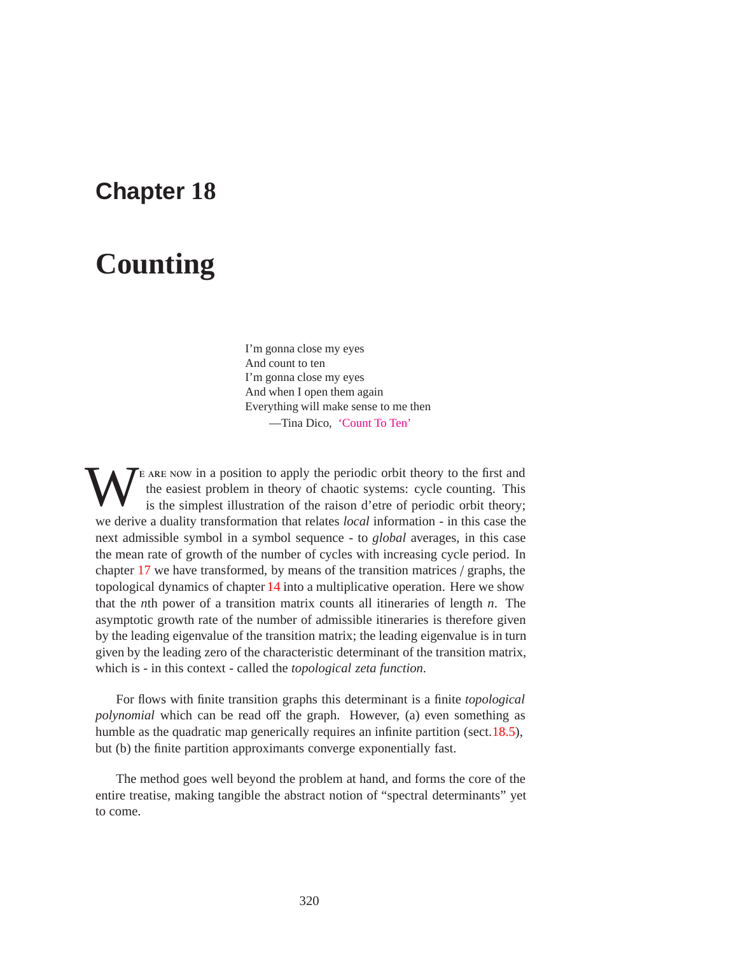## **Chapter 18**

# **Counting**

I'm gonna close my eyes And count to ten I'm gonna close my eyes And when I open them again Everything will make sense to me then —Tina Dico, 'Count To Ten'

TE ARE NOW in a position to apply the periodic orbit theory to the first and the easiest problem in theory of chaotic systems: cycle counting. This is the simplest illustration of the raison d'etre of periodic orbit theory the easiest problem in theory of chaotic systems: cycle counting. This is the simplest illustration of the raison d'etre of periodic orbit theory; we derive a duality transformation that relates *local* information - in this case the next admissible symbol in a symbol sequence - to *global* averages, in this case the mean rate of growth of the number of cycles with increasing cycle period. In chapter 17 we have transformed, by means of the transition matrices / graphs, the topological dynamics of chapter 14 into a multiplicative operation. Here we show that the *n*th power of a transition matrix counts all itineraries of length *n*. The asymptotic growth rate of the number of admissible itineraries is therefore given by the leading eigenvalue of the transition matrix; the leading eigenvalue is in turn given by the leading zero of the characteristic determinant of the transition matrix, which is - in this context - called the *topological zeta function*.

For flows with finite transition graphs this determinant is a finite *topological polynomial* which can be read off the graph. However, (a) even something as humble as the quadratic map generically requires an infinite partition (sect.18.5), but (b) the finite partition approximants converge exponentially fast.

The method goes well beyond the problem at hand, and forms the core of the entire treatise, making tangible the abstract notion of "spectral determinants" yet to come.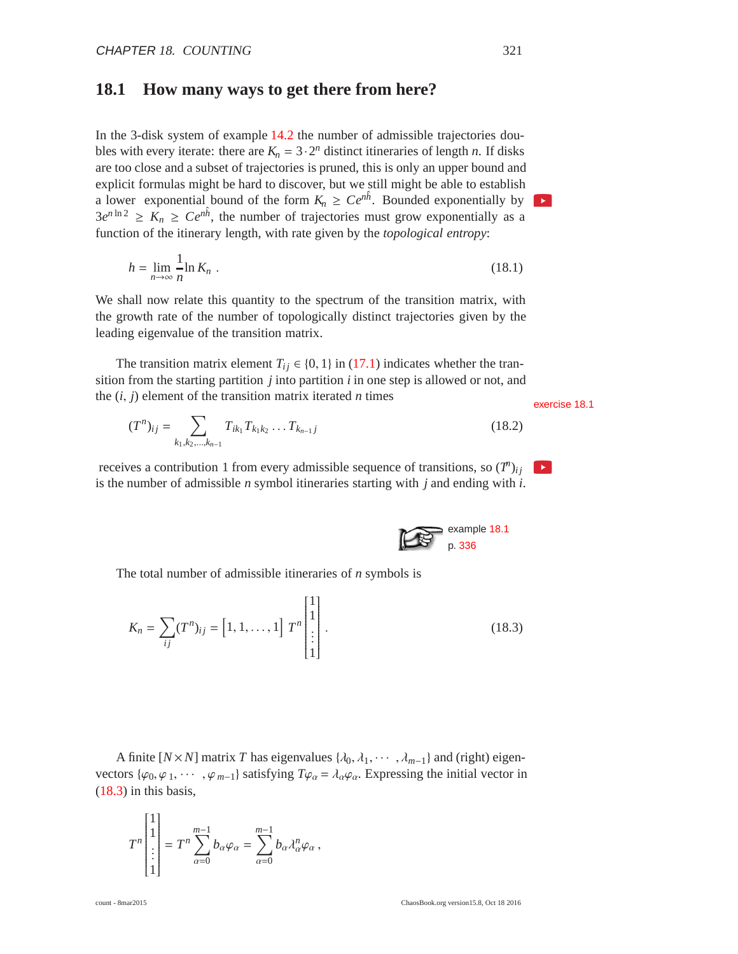## **18.1 How many ways to get there from here?**

In the 3-disk system of example 14.2 the number of admissible trajectories doubles with every iterate: there are  $K_n = 3 \cdot 2^n$  distinct itineraries of length *n*. If disks are too close and a subset of trajectories is pruned, this is only an upper bound and explicit formulas might be hard to discover, but we still might be able to establish a lower exponential bound of the form  $K_n \ge Ce^{n\hat{h}}$ . Bounded exponentially by  $3e^{n \ln 2} \geq K_n \geq Ce^{n\hat{h}}$ , the number of trajectories must grow exponentially as a function of the itinerary length, with rate given by the *topological entropy*:

$$
h = \lim_{n \to \infty} \frac{1}{n} \ln K_n \tag{18.1}
$$

We shall now relate this quantity to the spectrum of the transition matrix, with the growth rate of the number of topologically distinct trajectories given by the leading eigenvalue of the transition matrix.

The transition matrix element  $T_{ij} \in \{0, 1\}$  in (17.1) indicates whether the transition from the starting partition *j* into partition *i* in one step is allowed or not, and the  $(i, j)$  element of the transition matrix iterated *n* times exercise 18.1

$$
(T^n)_{ij} = \sum_{k_1, k_2, \dots, k_{n-1}} T_{ik_1} T_{k_1 k_2} \dots T_{k_{n-1} j}
$$
 (18.2)

receives a contribution 1 from every admissible sequence of transitions, so  $(T^n)_{ij}$ is the number of admissible *n* symbol itineraries starting with *j* and ending with *i*.

The total number of admissible itineraries of *n* symbols is

$$
K_n = \sum_{ij} (T^n)_{ij} = [1, 1, \dots, 1] T^n \begin{bmatrix} 1 \\ 1 \\ \vdots \\ 1 \end{bmatrix} .
$$
 (18.3)

A finite  $[N \times N]$  matrix *T* has eigenvalues  $\{\lambda_0, \lambda_1, \dots, \lambda_{m-1}\}$  and (right) eigenvectors { $\varphi_0, \varphi_1, \cdots, \varphi_{m-1}$ } satisfying  $T\varphi_\alpha = \lambda_\alpha \varphi_\alpha$ . Expressing the initial vector in (18.3) in this basis,

$$
T^n \begin{bmatrix} 1 \\ 1 \\ \vdots \\ 1 \end{bmatrix} = T^n \sum_{\alpha=0}^{m-1} b_{\alpha} \varphi_{\alpha} = \sum_{\alpha=0}^{m-1} b_{\alpha} \lambda_{\alpha}^n \varphi_{\alpha},
$$

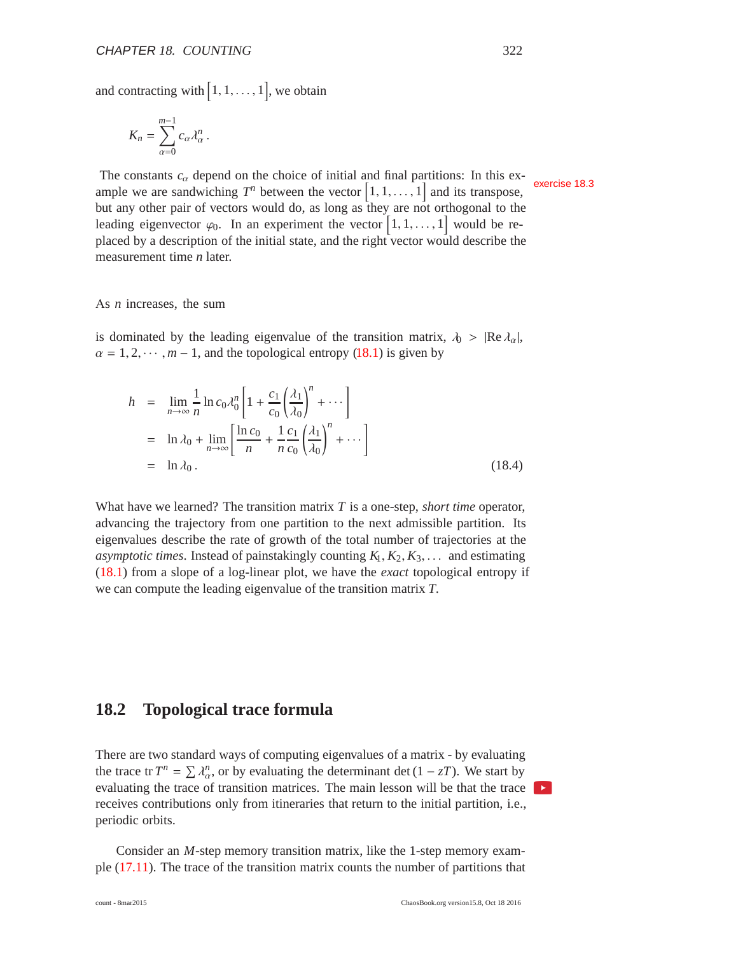and contracting with  $[1, 1, \ldots, 1]$ , we obtain

$$
K_n = \sum_{\alpha=0}^{m-1} c_\alpha \lambda_\alpha^n.
$$

The constants  $c_{\alpha}$  depend on the choice of initial and final partitions: In this example we are sandwiching  $T^n$  between the vector  $\begin{bmatrix} 1, 1, \ldots, 1 \end{bmatrix}$  and its transpose, but any other pair of vectors would do, as long as they are not orthogonal to the leading eigenvector  $\varphi_0$ . In an experiment the vector  $\left[1, 1, \ldots, 1\right]$  would be replaced by a description of the initial state, and the right vector would describe the measurement time *n* later.

As *n* increases, the sum

is dominated by the leading eigenvalue of the transition matrix,  $\lambda_0 > |Re \lambda_{\alpha}|$ ,  $\alpha = 1, 2, \dots, m-1$ , and the topological entropy (18.1) is given by

$$
h = \lim_{n \to \infty} \frac{1}{n} \ln c_0 \lambda_0^n \left[ 1 + \frac{c_1}{c_0} \left( \frac{\lambda_1}{\lambda_0} \right)^n + \cdots \right]
$$
  
=  $\ln \lambda_0 + \lim_{n \to \infty} \left[ \frac{\ln c_0}{n} + \frac{1}{n} \frac{c_1}{c_0} \left( \frac{\lambda_1}{\lambda_0} \right)^n + \cdots \right]$   
=  $\ln \lambda_0$ . (18.4)

What have we learned? The transition matrix *T* is a one-step, *short time* operator, advancing the trajectory from one partition to the next admissible partition. Its eigenvalues describe the rate of growth of the total number of trajectories at the *asymptotic times*. Instead of painstakingly counting *K*1, *K*2, *K*3,... and estimating (18.1) from a slope of a log-linear plot, we have the *exact* topological entropy if we can compute the leading eigenvalue of the transition matrix *T*.

#### **18.2 Topological trace formula**

There are two standard ways of computing eigenvalues of a matrix - by evaluating the trace tr  $T^n = \sum \lambda_{\alpha}^n$ , or by evaluating the determinant det  $(1 - zT)$ . We start by evaluating the trace of transition matrices. The main lesson will be that the trace receives contributions only from itineraries that return to the initial partition, i.e., periodic orbits.

Consider an *M*-step memory transition matrix, like the 1-step memory example (17.11). The trace of the transition matrix counts the number of partitions that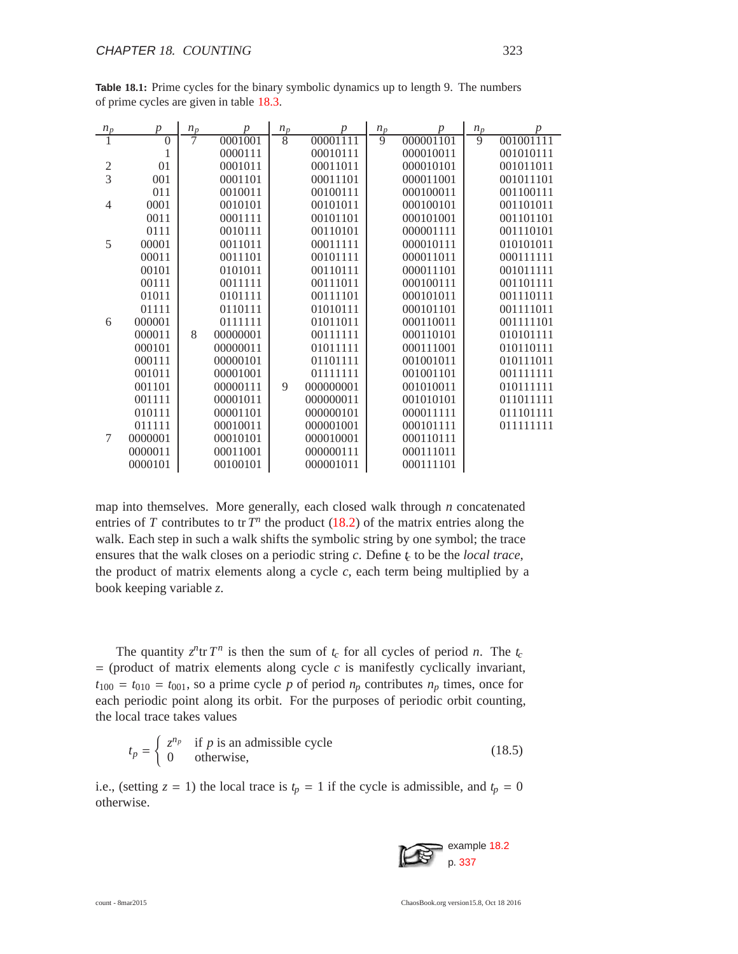| $n_p$          | $\boldsymbol{p}$ | $n_p$ | $\boldsymbol{p}$ | $n_{\mathfrak{p}}$ | $\boldsymbol{p}$ | $n_p$          | $\boldsymbol{p}$ | $n_p$          | р         |
|----------------|------------------|-------|------------------|--------------------|------------------|----------------|------------------|----------------|-----------|
|                | $\theta$         |       | 0001001          | $\overline{8}$     | 00001111         | $\overline{9}$ | 000001101        | $\overline{9}$ | 001001111 |
|                | 1                |       | 0000111          |                    | 00010111         |                | 000010011        |                | 001010111 |
| $\sqrt{2}$     | 01               |       | 0001011          |                    | 00011011         |                | 000010101        |                | 001011011 |
| $\overline{3}$ | 001              |       | 0001101          |                    | 00011101         |                | 000011001        |                | 001011101 |
|                | 011              |       | 0010011          |                    | 00100111         |                | 000100011        |                | 001100111 |
| 4              | 0001             |       | 0010101          |                    | 00101011         |                | 000100101        |                | 001101011 |
|                | 0011             |       | 0001111          |                    | 00101101         |                | 000101001        |                | 001101101 |
|                | 0111             |       | 0010111          |                    | 00110101         |                | 000001111        |                | 001110101 |
| 5              | 00001            |       | 0011011          |                    | 00011111         |                | 000010111        |                | 010101011 |
|                | 00011            |       | 0011101          |                    | 00101111         |                | 000011011        |                | 000111111 |
|                | 00101            |       | 0101011          |                    | 00110111         |                | 000011101        |                | 001011111 |
|                | 00111            |       | 0011111          |                    | 00111011         |                | 000100111        |                | 001101111 |
|                | 01011            |       | 0101111          |                    | 00111101         |                | 000101011        |                | 001110111 |
|                | 01111            |       | 0110111          |                    | 01010111         |                | 000101101        |                | 001111011 |
| 6              | 000001           |       | 0111111          |                    | 01011011         |                | 000110011        |                | 001111101 |
|                | 000011           | 8     | 00000001         |                    | 00111111         |                | 000110101        |                | 010101111 |
|                | 000101           |       | 00000011         |                    | 01011111         |                | 000111001        |                | 010110111 |
|                | 000111           |       | 00000101         |                    | 01101111         |                | 001001011        |                | 010111011 |
|                | 001011           |       | 00001001         |                    | 01111111         |                | 001001101        |                | 001111111 |
|                | 001101           |       | 00000111         | 9                  | 000000001        |                | 001010011        |                | 010111111 |
|                | 001111           |       | 00001011         |                    | 000000011        |                | 001010101        |                | 011011111 |
|                | 010111           |       | 00001101         |                    | 000000101        |                | 000011111        |                | 011101111 |
|                | 011111           |       | 00010011         |                    | 000001001        |                | 000101111        |                | 011111111 |
| 7              | 0000001          |       | 00010101         |                    | 000010001        |                | 000110111        |                |           |
|                | 0000011          |       | 00011001         |                    | 000000111        |                | 000111011        |                |           |
|                | 0000101          |       | 00100101         |                    | 000001011        |                | 000111101        |                |           |

**Table 18.1:** Prime cycles for the binary symbolic dynamics up to length 9. The numbers of prime cycles are given in table 18.3.

map into themselves. More generally, each closed walk through *n* concatenated entries of *T* contributes to tr  $T^n$  the product (18.2) of the matrix entries along the walk. Each step in such a walk shifts the symbolic string by one symbol; the trace ensures that the walk closes on a periodic string *c*. Define *t<sup>c</sup>* to be the *local trace*, the product of matrix elements along a cycle  $c$ , each term being multiplied by a book keeping variable *z*.

The quantity  $z^n$ tr  $T^n$  is then the sum of  $t_c$  for all cycles of period *n*. The  $t_c$  $=$  (product of matrix elements along cycle  $c$  is manifestly cyclically invariant,  $t_{100} = t_{010} = t_{001}$ , so a prime cycle *p* of period  $n_p$  contributes  $n_p$  times, once for each periodic point along its orbit. For the purposes of periodic orbit counting, the local trace takes values

$$
t_p = \begin{cases} z^{n_p} & \text{if } p \text{ is an admissible cycle} \\ 0 & \text{otherwise,} \end{cases}
$$
 (18.5)

i.e., (setting  $z = 1$ ) the local trace is  $t_p = 1$  if the cycle is admissible, and  $t_p = 0$ otherwise.

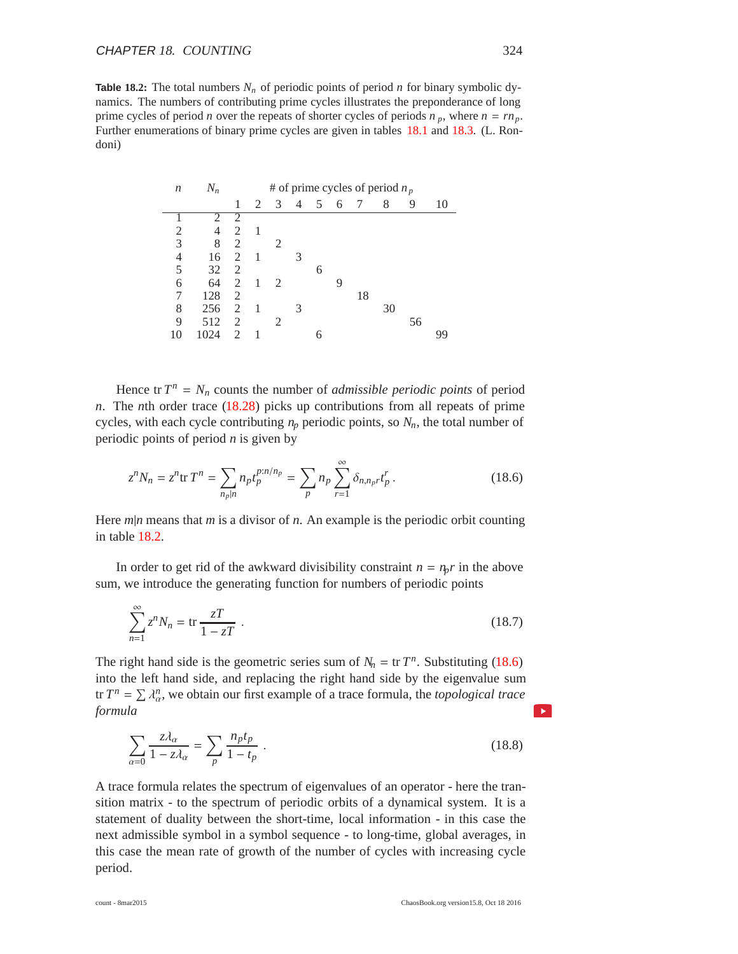**Table 18.2:** The total numbers  $N_n$  of periodic points of period *n* for binary symbolic dynamics. The numbers of contributing prime cycles illustrates the preponderance of long prime cycles of period *n* over the repeats of shorter cycles of periods  $n_p$ , where  $n = rn_p$ . Further enumerations of binary prime cycles are given in tables 18.1 and 18.3. (L. Rondoni)

| n  | $N_n$ |               |   |                             |                |   |   |    | # of prime cycles of period $n_p$ |    |    |
|----|-------|---------------|---|-----------------------------|----------------|---|---|----|-----------------------------------|----|----|
|    |       | 1             | 2 | 3                           | $\overline{4}$ | 5 | 6 | 7  | 8                                 | 9  | 10 |
|    |       | 2             |   |                             |                |   |   |    |                                   |    |    |
| 2  | 4     | 2             | 1 |                             |                |   |   |    |                                   |    |    |
| 3  | 8     | 2             |   | 2                           |                |   |   |    |                                   |    |    |
| 4  | 16    | 2             | 1 |                             | 3              |   |   |    |                                   |    |    |
| 5  | 32    | 2             |   |                             |                | 6 |   |    |                                   |    |    |
| 6  | 64    | 2             | 1 | $\mathcal{D}_{\mathcal{L}}$ |                |   |   |    |                                   |    |    |
| 7  | 128   | 2             |   |                             |                |   |   | 18 |                                   |    |    |
| 8  | 256   | 2             | 1 |                             | 3              |   |   |    | 30                                |    |    |
| 9  | 512   | 2             |   | 2                           |                |   |   |    |                                   | 56 |    |
| 10 | Ω4    | $\mathcal{D}$ |   |                             |                | 6 |   |    |                                   |    |    |

Hence tr  $T^n = N_n$  counts the number of *admissible periodic points* of period *n*. The *n*th order trace (18.28) picks up contributions from all repeats of prime cycles, with each cycle contributing  $n_p$  periodic points, so  $N_p$ , the total number of periodic points of period *n* is given by

$$
z^{n}N_{n} = z^{n} \text{tr} T^{n} = \sum_{n_{p}|n} n_{p} t_{p}^{p:n/n_{p}} = \sum_{p} n_{p} \sum_{r=1}^{\infty} \delta_{n,n_{p}r} t_{p}^{r}.
$$
 (18.6)

Here *m*|*n* means that *m* is a divisor of *n*. An example is the periodic orbit counting in table 18.2.

In order to get rid of the awkward divisibility constraint  $n = n_p r$  in the above sum, we introduce the generating function for numbers of periodic points

$$
\sum_{n=1}^{\infty} z^n N_n = \text{tr} \frac{zT}{1 - zT} \tag{18.7}
$$

The right hand side is the geometric series sum of  $N_n = \text{tr } T^n$ . Substituting (18.6) into the left hand side, and replacing the right hand side by the eigenvalue sum tr  $T^n = \sum \lambda_\alpha^n$ , we obtain our first example of a trace formula, the *topological trace formula*

$$
\sum_{\alpha=0} \frac{z\lambda_{\alpha}}{1 - z\lambda_{\alpha}} = \sum_{p} \frac{n_p t_p}{1 - t_p} \tag{18.8}
$$

A trace formula relates the spectrum of eigenvalues of an operator - here the transition matrix - to the spectrum of periodic orbits of a dynamical system. It is a statement of duality between the short-time, local information - in this case the next admissible symbol in a symbol sequence - to long-time, global averages, in this case the mean rate of growth of the number of cycles with increasing cycle period.

 $\blacktriangleright$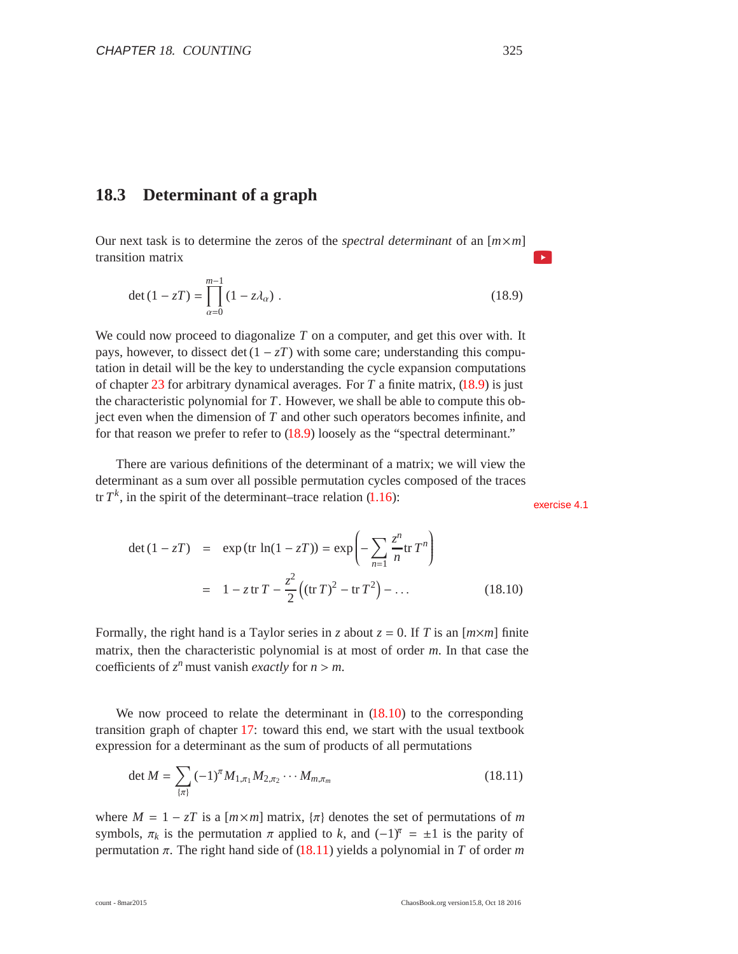### **18.3 Determinant of a graph**

Our next task is to determine the zeros of the *spectral determinant* of an [*m*×*m*] transition matrix

$$
\det (1 - zT) = \prod_{\alpha=0}^{m-1} (1 - z\lambda_{\alpha}).
$$
 (18.9)

We could now proceed to diagonalize *T* on a computer, and get this over with. It pays, however, to dissect det  $(1 - zT)$  with some care; understanding this computation in detail will be the key to understanding the cycle expansion computations of chapter 23 for arbitrary dynamical averages. For *T* a finite matrix, (18.9) is just the characteristic polynomial for *T*. However, we shall be able to compute this object even when the dimension of *T* and other such operators becomes infinite, and for that reason we prefer to refer to (18.9) loosely as the "spectral determinant."

There are various definitions of the determinant of a matrix; we will view the determinant as a sum over all possible permutation cycles composed of the traces tr  $T^k$ , in the spirit of the determinant–trace relation  $(1.16)$ :

**N** 

$$
\det (1 - zT) = \exp (\text{tr } \ln(1 - zT)) = \exp \left(-\sum_{n=1}^{\infty} \frac{z^n}{n} \text{tr } T^n\right)
$$
  
=  $1 - z \text{tr } T - \frac{z^2}{2} \left((\text{tr } T)^2 - \text{tr } T^2\right) - \dots$  (18.10)

Formally, the right hand is a Taylor series in *z* about  $z = 0$ . If *T* is an  $[m \times m]$  finite matrix, then the characteristic polynomial is at most of order *m*. In that case the coefficients of  $z^n$  must vanish *exactly* for  $n > m$ .

We now proceed to relate the determinant in  $(18.10)$  to the corresponding transition graph of chapter 17: toward this end, we start with the usual textbook expression for a determinant as the sum of products of all permutations

$$
\det M = \sum_{\{\pi\}} (-1)^{\pi} M_{1,\pi_1} M_{2,\pi_2} \cdots M_{m,\pi_m}
$$
 (18.11)

where  $M = 1 - zT$  is a  $[m \times m]$  matrix,  $\{\pi\}$  denotes the set of permutations of *m* symbols,  $\pi_k$  is the permutation  $\pi$  applied to *k*, and  $(-1)^{\pi} = \pm 1$  is the parity of permutation π. The right hand side of (18.11) yields a polynomial in *T* of order *m*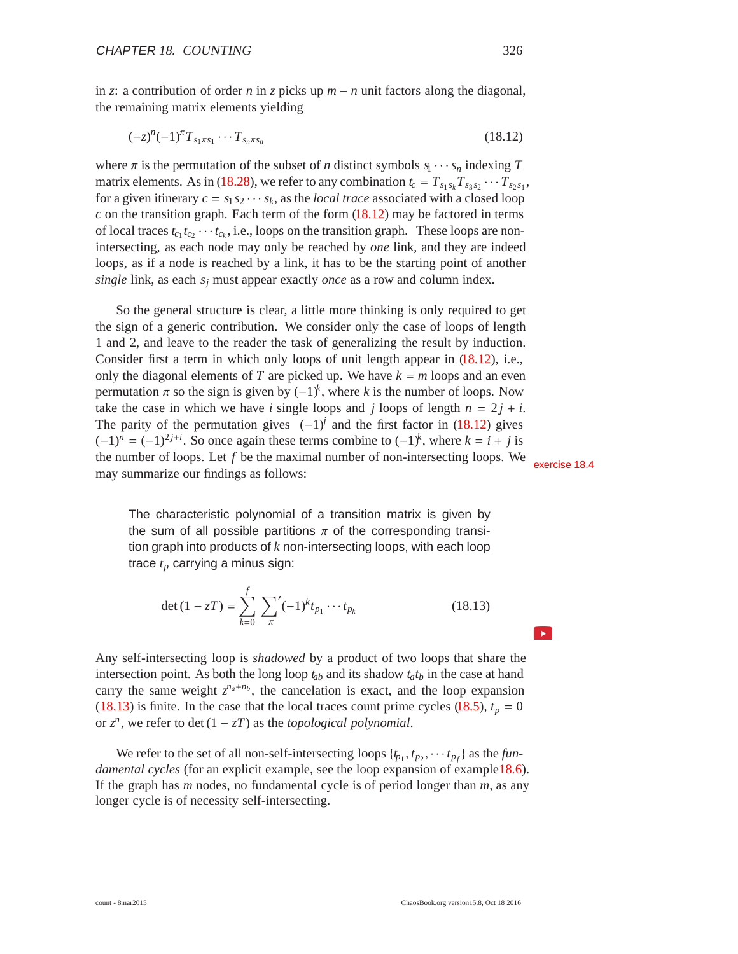in *z*: a contribution of order *n* in *z* picks up *m* − *n* unit factors along the diagonal, the remaining matrix elements yielding

$$
(-z)^{n}(-1)^{n}T_{s_{1}\pi s_{1}}\cdots T_{s_{n}\pi s_{n}} \qquad (18.12)
$$

where  $\pi$  is the permutation of the subset of *n* distinct symbols  $s_1 \cdots s_n$  indexing  $T$ matrix elements. As in (18.28), we refer to any combination  $t_c = T_{s_1 s_k} T_{s_3 s_2} \cdots T_{s_2 s_1}$ , for a given itinerary  $c = s_1 s_2 \cdots s_k$ , as the *local trace* associated with a closed loop  $c$  on the transition graph. Each term of the form  $(18.12)$  may be factored in terms of local traces  $t_{c_1} t_{c_2} \cdots t_{c_k}$ , i.e., loops on the transition graph. These loops are nonintersecting, as each node may only be reached by *one* link, and they are indeed loops, as if a node is reached by a link, it has to be the starting point of another *single* link, as each *sj* must appear exactly *once* as a row and column index.

So the general structure is clear, a little more thinking is only required to get the sign of a generic contribution. We consider only the case of loops of length 1 and 2, and leave to the reader the task of generalizing the result by induction. Consider first a term in which only loops of unit length appear in  $(18.12)$ , i.e., only the diagonal elements of *T* are picked up. We have  $k = m$  loops and an even permutation π so the sign is given by  $(-1)^k$ , where *k* is the number of loops. Now take the case in which we have *i* single loops and *j* loops of length  $n = 2j + i$ . The parity of the permutation gives  $(-1)^j$  and the first factor in (18.12) gives  $(-1)^n = (-1)^{2j+i}$ . So once again these terms combine to  $(-1)^k$ , where  $k = i + j$  is the number of loops. Let  $f$  be the maximal number of non-intersecting loops. We exercise 18.4 may summarize our findings as follows:

The characteristic polynomial of a transition matrix is given by the sum of all possible partitions  $\pi$  of the corresponding transition graph into products of *k* non-intersecting loops, with each loop trace *tp* carrying a minus sign:

$$
\det(1 - zT) = \sum_{k=0}^{f} \sum_{\pi} (-1)^k t_{p_1} \cdots t_{p_k}
$$
 (18.13)

Any self-intersecting loop is *shadowed* by a product of two loops that share the intersection point. As both the long loop  $t_{ab}$  and its shadow  $t_a t_b$  in the case at hand carry the same weight  $z^{n_a+n_b}$ , the cancelation is exact, and the loop expansion (18.13) is finite. In the case that the local traces count prime cycles (18.5),  $t_p = 0$ or  $z^n$ , we refer to det  $(1 – zT)$  as the *topological polynomial*.

We refer to the set of all non-self-intersecting loops  $\{t_{p_1}, t_{p_2}, \dots, t_{p_f}\}$  as the *fundamental cycles* (for an explicit example, see the loop expansion of example18.6). If the graph has *m* nodes, no fundamental cycle is of period longer than *m*, as any longer cycle is of necessity self-intersecting.

 $\blacktriangleright$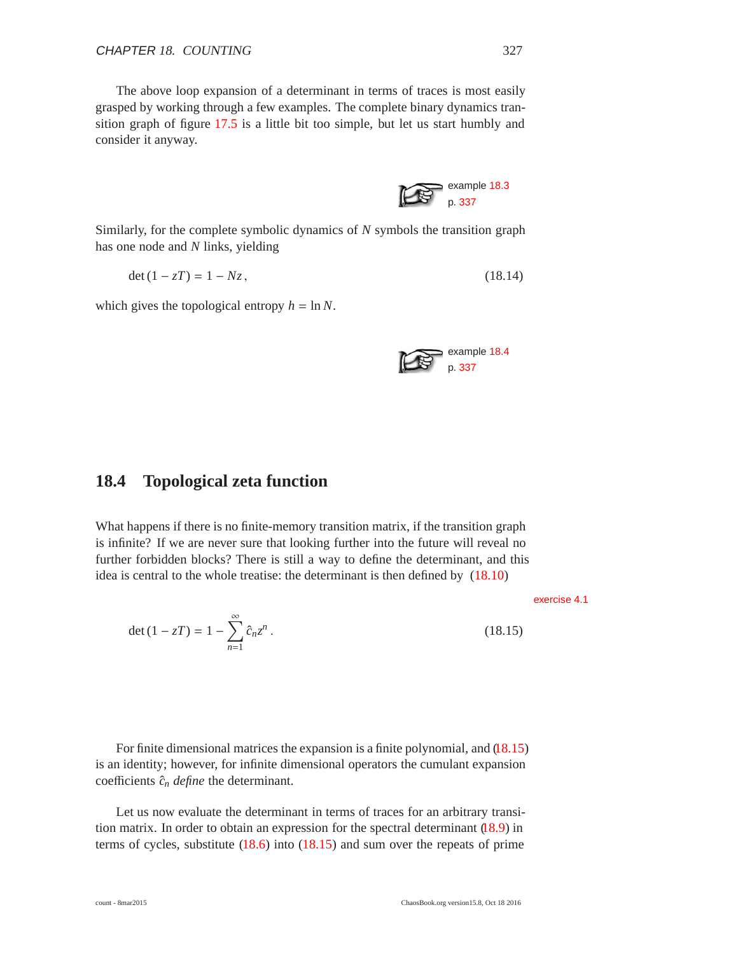The above loop expansion of a determinant in terms of traces is most easily grasped by working through a few examples. The complete binary dynamics transition graph of figure 17.5 is a little bit too simple, but let us start humbly and consider it anyway.

Similarly, for the complete symbolic dynamics of *N* symbols the transition graph has one node and *N* links, yielding

$$
\det(1 - zT) = 1 - Nz, \tag{18.14}
$$

which gives the topological entropy  $h = \ln N$ .



example 18.3 p. 337

## **18.4 Topological zeta function**

What happens if there is no finite-memory transition matrix, if the transition graph is infinite? If we are never sure that looking further into the future will reveal no further forbidden blocks? There is still a way to define the determinant, and this idea is central to the whole treatise: the determinant is then defined by (18.10)

exercise 4.1

$$
\det (1 - zT) = 1 - \sum_{n=1}^{\infty} \hat{c}_n z^n.
$$
 (18.15)

For finite dimensional matrices the expansion is a finite polynomial, and (18.15) is an identity; however, for infinite dimensional operators the cumulant expansion coefficients  $\hat{c}_n$  *define* the determinant.

Let us now evaluate the determinant in terms of traces for an arbitrary transition matrix. In order to obtain an expression for the spectral determinant (18.9) in terms of cycles, substitute (18.6) into (18.15) and sum over the repeats of prime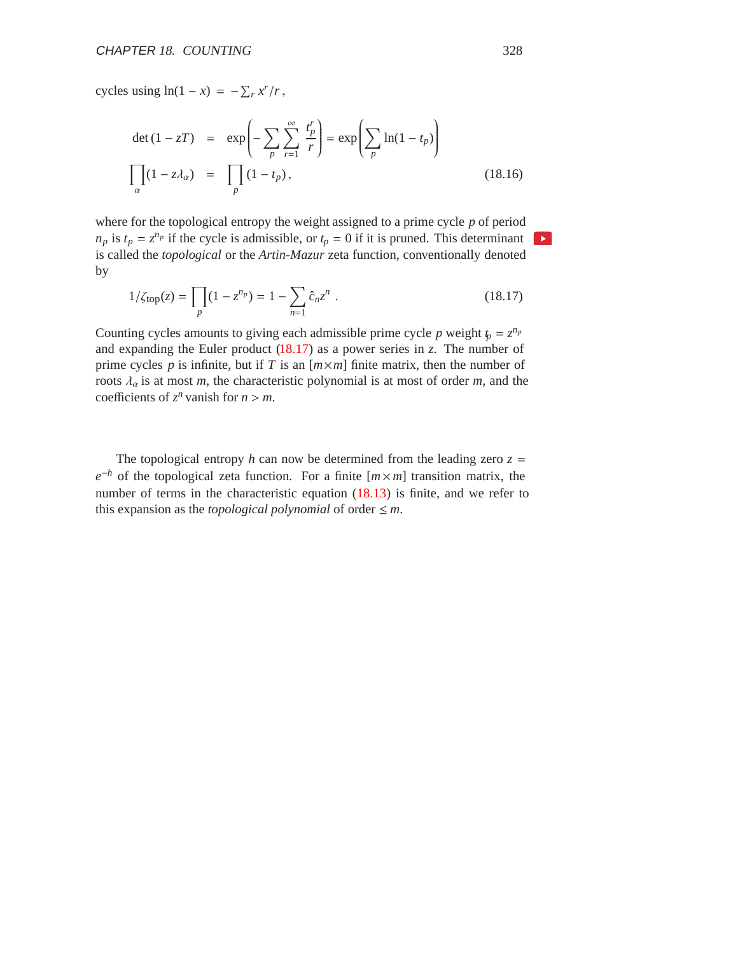cycles using  $ln(1 - x) = -\sum_r x^r/r$ ,

$$
\det (1 - zT) = \exp\left(-\sum_{p} \sum_{r=1}^{\infty} \frac{t_p^r}{r}\right) = \exp\left(\sum_{p} \ln(1 - t_p)\right)
$$
  

$$
\prod_{\alpha} (1 - z\lambda_{\alpha}) = \prod_{p} (1 - t_p),
$$
 (18.16)

where for the topological entropy the weight assigned to a prime cycle *p* of period  $n_p$  is  $t_p = z^{n_p}$  if the cycle is admissible, or  $t_p = 0$  if it is pruned. This determinant  $\mathbf{F}$ is called the *topological* or the *Artin-Mazur* zeta function, conventionally denoted by

$$
1/\zeta_{\text{top}}(z) = \prod_{p} (1 - z^{n_p}) = 1 - \sum_{n=1} \hat{c}_n z^n .
$$
 (18.17)

Counting cycles amounts to giving each admissible prime cycle *p* weight  $t_p = z^{n_p}$ and expanding the Euler product  $(18.17)$  as a power series in *z*. The number of prime cycles  $p$  is infinite, but if  $T$  is an  $[m \times m]$  finite matrix, then the number of roots  $\lambda_a$  is at most *m*, the characteristic polynomial is at most of order *m*, and the coefficients of  $z^n$  vanish for  $n > m$ .

The topological entropy *h* can now be determined from the leading zero  $z =$  $e^{-h}$  of the topological zeta function. For a finite [ $m \times m$ ] transition matrix, the number of terms in the characteristic equation (18.13) is finite, and we refer to this expansion as the *topological polynomial* of order  $\leq m$ .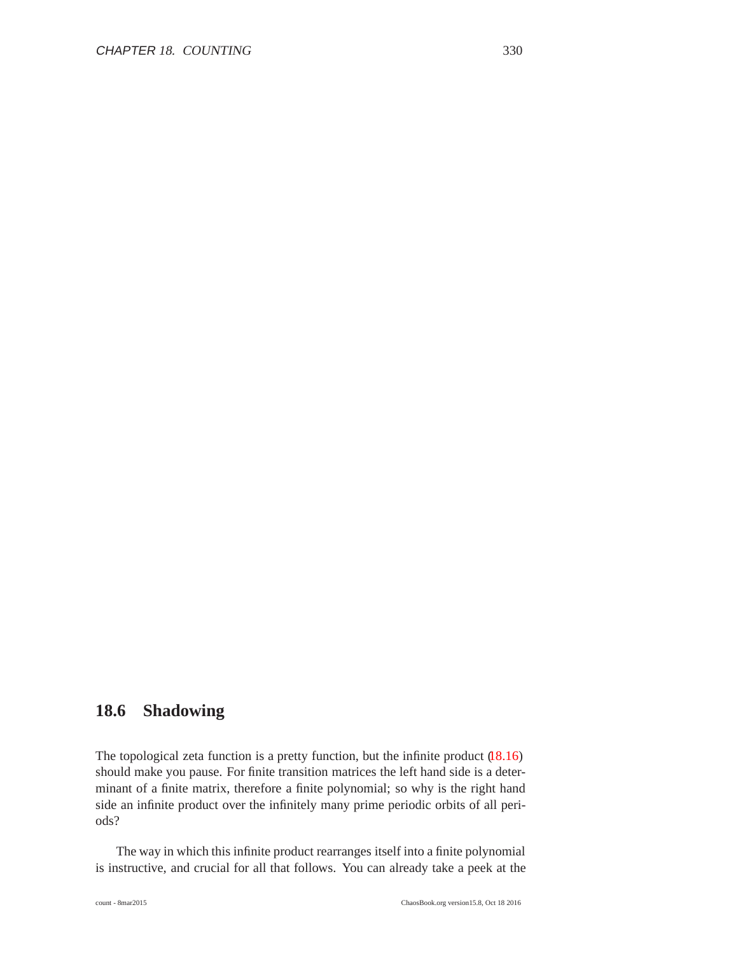## **18.6 Shadowing**

The topological zeta function is a pretty function, but the infinite product (18.16) should make you pause. For finite transition matrices the left hand side is a determinant of a finite matrix, therefore a finite polynomial; so why is the right hand side an infinite product over the infinitely many prime periodic orbits of all periods?

The way in which this infinite product rearranges itself into a finite polynomial is instructive, and crucial for all that follows. You can already take a peek at the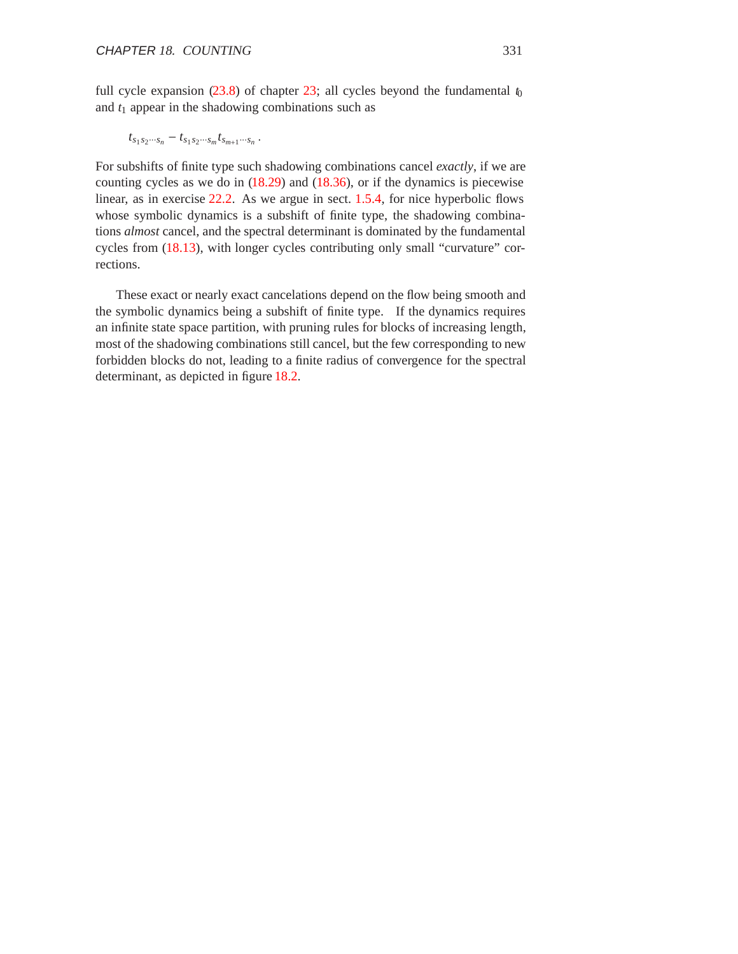full cycle expansion  $(23.8)$  of chapter 23; all cycles beyond the fundamental  $t_0$ and  $t_1$  appear in the shadowing combinations such as

$$
t_{s_1s_2\cdots s_n} - t_{s_1s_2\cdots s_m}t_{s_{m+1}\cdots s_n} \, .
$$

For subshifts of finite type such shadowing combinations cancel *exactly*, if we are counting cycles as we do in (18.29) and (18.36), or if the dynamics is piecewise linear, as in exercise 22.2. As we argue in sect. 1.5.4, for nice hyperbolic flows whose symbolic dynamics is a subshift of finite type, the shadowing combinations *almost* cancel, and the spectral determinant is dominated by the fundamental cycles from (18.13), with longer cycles contributing only small "curvature" corrections.

These exact or nearly exact cancelations depend on the flow being smooth and the symbolic dynamics being a subshift of finite type. If the dynamics requires an infinite state space partition, with pruning rules for blocks of increasing length, most of the shadowing combinations still cancel, but the few corresponding to new forbidden blocks do not, leading to a finite radius of convergence for the spectral determinant, as depicted in figure 18.2.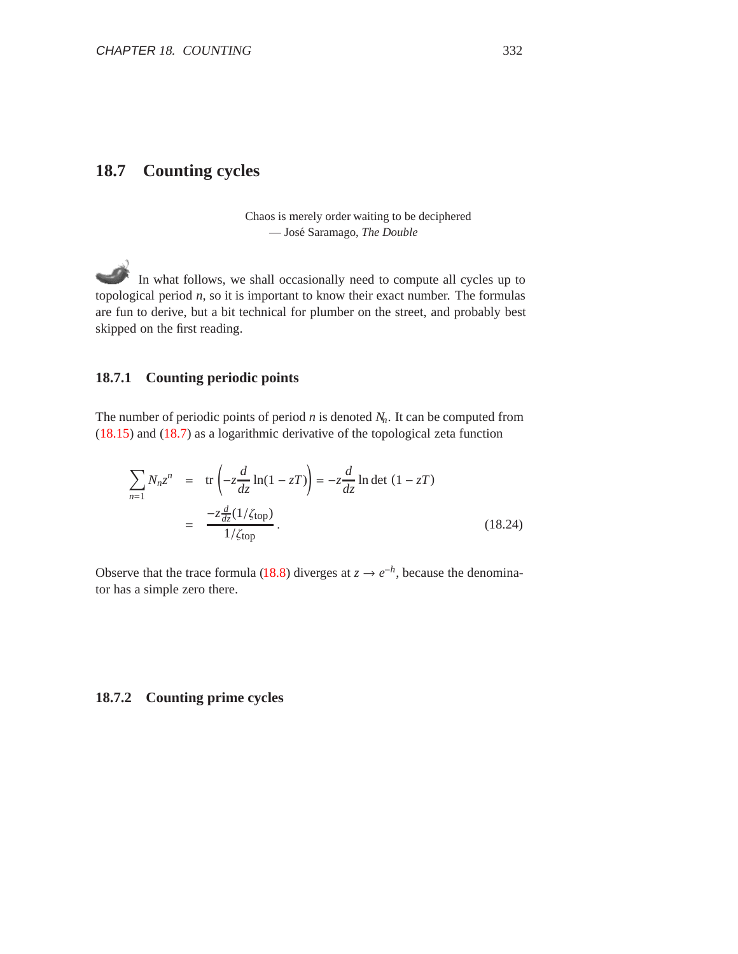## **18.7 Counting cycles**

Chaos is merely order waiting to be deciphered — Jos´e Saramago, *The Double*

In what follows, we shall occasionally need to compute all cycles up to topological period *n*, so it is important to know their exact number. The formulas are fun to derive, but a bit technical for plumber on the street, and probably best skipped on the first reading.

## **18.7.1 Counting periodic points**

The number of periodic points of period *n* is denoted *Nn*. It can be computed from (18.15) and (18.7) as a logarithmic derivative of the topological zeta function

$$
\sum_{n=1} N_n z^n = \text{tr}\left(-z\frac{d}{dz}\ln(1 - zT)\right) = -z\frac{d}{dz}\ln\det(1 - zT)
$$

$$
= \frac{-z\frac{d}{dz}(1/\zeta_{\text{top}})}{1/\zeta_{\text{top}}}.
$$
(18.24)

Observe that the trace formula (18.8) diverges at  $z \to e^{-h}$ , because the denominator has a simple zero there.

#### **18.7.2 Counting prime cycles**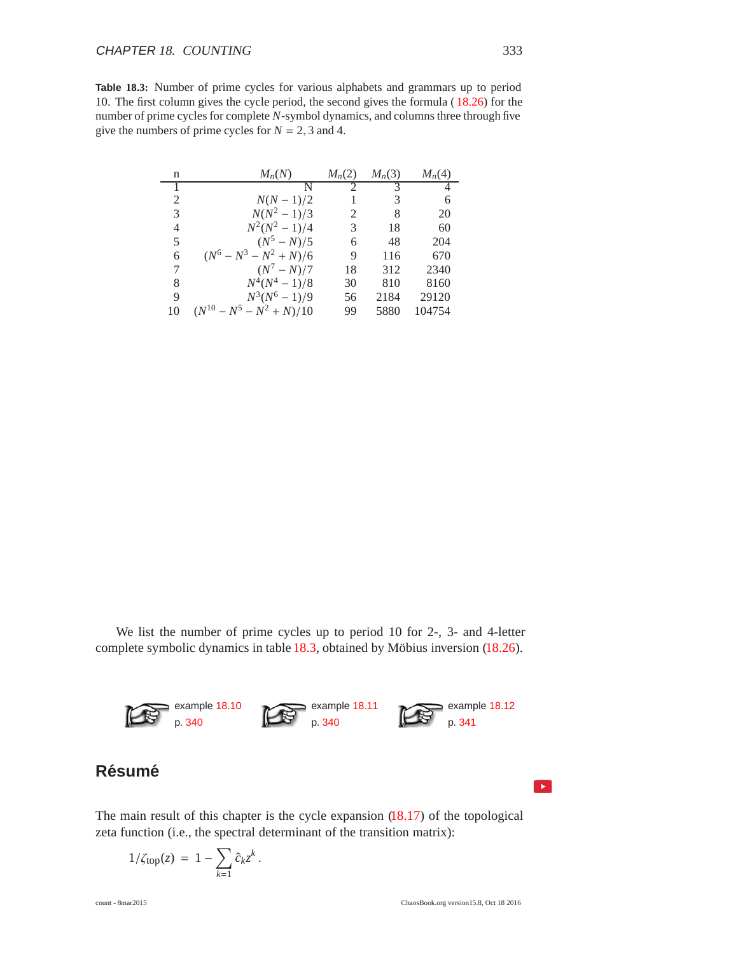**Table 18.3:** Number of prime cycles for various alphabets and grammars up to period 10. The first column gives the cycle period, the second gives the formula ( 18.26) for the number of prime cycles for complete *N*-symbol dynamics, and columns three through five give the numbers of prime cycles for  $N = 2, 3$  and 4.

| n  | $M_n(N)$                      | $M_n(2)$      | $M_n(3)$ | $M_n(4)$ |
|----|-------------------------------|---------------|----------|----------|
|    | N                             | $\mathcal{D}$ | 3        | 4        |
| 2  | $N(N - 1)/2$                  |               | 3        | 6        |
| 3  | $N(N^2-1)/3$                  | 2             | 8        | 20       |
| 4  | $N^2(N^2-1)/4$                | 3             | 18       | 60       |
| 5  | $(N^5 - N)/5$                 | 6             | 48       | 204      |
| 6  | $(N^6 - N^3 - N^2 + N)/6$     | 9             | 116      | 670      |
| 7  | $(N^7 - N)/7$                 | 18            | 312      | 2340     |
| 8  | $N^4(N^4-1)/8$                | 30            | 810      | 8160     |
| 9  | $N^3(N^6-1)/9$                | 56            | 2184     | 29120    |
| 10 | $(N^{10} - N^5 - N^2 + N)/10$ | 99            | 5880     | 104754   |

We list the number of prime cycles up to period 10 for 2-, 3- and 4-letter complete symbolic dynamics in table  $18.3$ , obtained by Möbius inversion  $(18.26)$ .



The main result of this chapter is the cycle expansion  $(18.17)$  of the topological zeta function (i.e., the spectral determinant of the transition matrix):

$$
1/\zeta_{\text{top}}(z) = 1 - \sum_{k=1} c_k z^k.
$$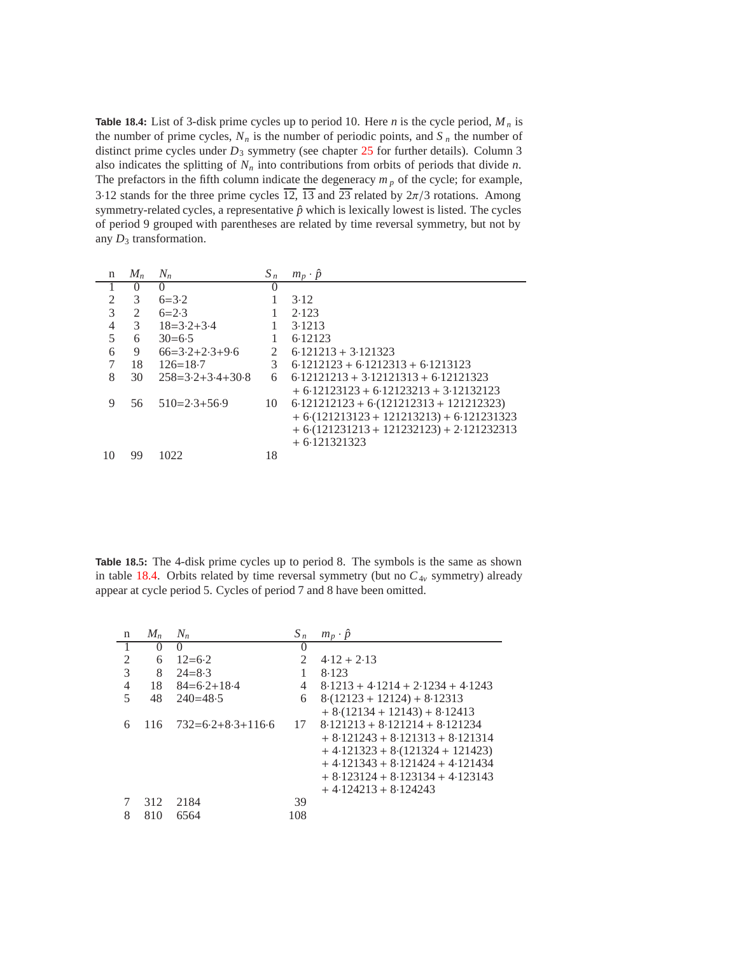**Table 18.4:** List of 3-disk prime cycles up to period 10. Here *n* is the cycle period,  $M_n$  is the number of prime cycles,  $N_n$  is the number of periodic points, and  $S_n$  the number of distinct prime cycles under  $D_3$  symmetry (see chapter 25 for further details). Column 3 also indicates the splitting of  $N_n$  into contributions from orbits of periods that divide  $n$ . The prefactors in the fifth column indicate the degeneracy  $m_p$  of the cycle; for example, 3·12 stands for the three prime cycles  $\overline{12}$ ,  $\overline{13}$  and  $\overline{23}$  related by  $2\pi/3$  rotations. Among symmetry-related cycles, a representative  $\hat{p}$  which is lexically lowest is listed. The cycles of period 9 grouped with parentheses are related by time reversal symmetry, but not by any  $D_3$  transformation.

| n              | $M_{n}$       | $N_n$              | $S_n$       | $m_p \cdot \hat{p}$                        |
|----------------|---------------|--------------------|-------------|--------------------------------------------|
|                | $\theta$      | $\left( \right)$   | $\theta$    |                                            |
| $\mathfrak{D}$ | 3             | $6 = 3.2$          |             | 3.12                                       |
| 3              | 2             | $6=2.3$            |             | 2.123                                      |
| $\overline{4}$ | $\mathcal{E}$ | $18 = 3.2 + 3.4$   |             | 3.1213                                     |
| 5              | 6             | $30=6.5$           |             | 6.12123                                    |
| 6              | 9             | $66=3.2+2.3+9.6$   | $2^{\circ}$ | $6.121213 + 3.121323$                      |
|                | 18            | $126 = 18.7$       | 3           | $6.1212123 + 6.1212313 + 6.1213123$        |
| 8              | 30            | $258=3.2+3.4+30.8$ | 6           | $6.12121213 + 3.12121313 + 6.12121323$     |
|                |               |                    |             | $+6.12123123 + 6.12123213 + 3.12132123$    |
| 9              | 56            | $510=2.3+56.9$     | 10          | $6.121212123 + 6.121212313 + 121212323$    |
|                |               |                    |             | $+6(121213123 + 121213213) + 6(121231323)$ |
|                |               |                    |             | $+6(121231213 + 121232123) + 2.121232313$  |
|                |               |                    |             | $+6.121321323$                             |
| 10             | 99            | 1022               | 18          |                                            |

**Table 18.5:** The 4-disk prime cycles up to period 8. The symbols is the same as shown in table 18.4. Orbits related by time reversal symmetry (but no  $C_{4v}$  symmetry) already appear at cycle period 5. Cycles of period 7 and 8 have been omitted.

| n              | $M_n$ | $N_n$               | $S_n$                 | $m_p \cdot \hat{p}$                 |
|----------------|-------|---------------------|-----------------------|-------------------------------------|
|                | 0     | $\theta$            | $\theta$              |                                     |
| 2              | 6     | $12=6.2$            | $\mathcal{D}_{\cdot}$ | $4.12 + 2.13$                       |
| 3              | 8     | $24 = 8.3$          |                       | 8.123                               |
| $\overline{4}$ | 18    | $84=6.2+18.4$       | 4                     | $8.1213 + 4.1214 + 2.1234 + 4.1243$ |
| 5              | 48    | $240 = 48.5$        | 6                     | $8(12123 + 12124) + 8.12313$        |
|                |       |                     |                       | $+8(12134+12143)+8.12413$           |
| 6              | 116   | $732=6.2+8.3+116.6$ | 17                    | $8.121213 + 8.121214 + 8.121234$    |
|                |       |                     |                       | $+8.121243 + 8.121313 + 8.121314$   |
|                |       |                     |                       | $+4.121323 + 8.121324 + 121423$     |
|                |       |                     |                       | $+4.121343 + 8.121424 + 4.121434$   |
|                |       |                     |                       | $+8.123124 + 8.123134 + 4.123143$   |
|                |       |                     |                       | $+4.124213 + 8.124243$              |
| 7              | 312   | 2184                | 39                    |                                     |
| 8              | 810   | 6564                | 108                   |                                     |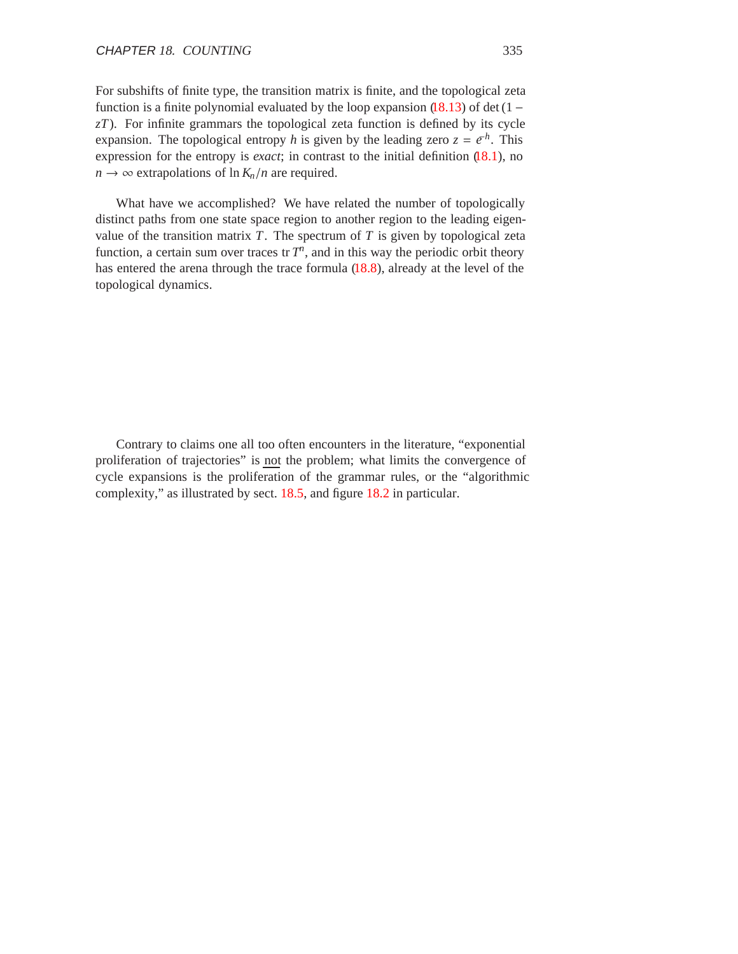For subshifts of finite type, the transition matrix is finite, and the topological zeta function is a finite polynomial evaluated by the loop expansion  $(18.13)$  of det  $(1 –$ *zT*). For infinite grammars the topological zeta function is defined by its cycle expansion. The topological entropy *h* is given by the leading zero  $z = e^{-h}$ . This expression for the entropy is *exact*; in contrast to the initial definition  $(18.1)$ , no  $n \rightarrow \infty$  extrapolations of  $\ln K_n/n$  are required.

What have we accomplished? We have related the number of topologically distinct paths from one state space region to another region to the leading eigenvalue of the transition matrix  $T$ . The spectrum of  $T$  is given by topological zeta function, a certain sum over traces tr  $T<sup>n</sup>$ , and in this way the periodic orbit theory has entered the arena through the trace formula (18.8), already at the level of the topological dynamics.

Contrary to claims one all too often encounters in the literature, "exponential proliferation of trajectories" is not the problem; what limits the convergence of cycle expansions is the proliferation of the grammar rules, or the "algorithmic complexity," as illustrated by sect. 18.5, and figure 18.2 in particular.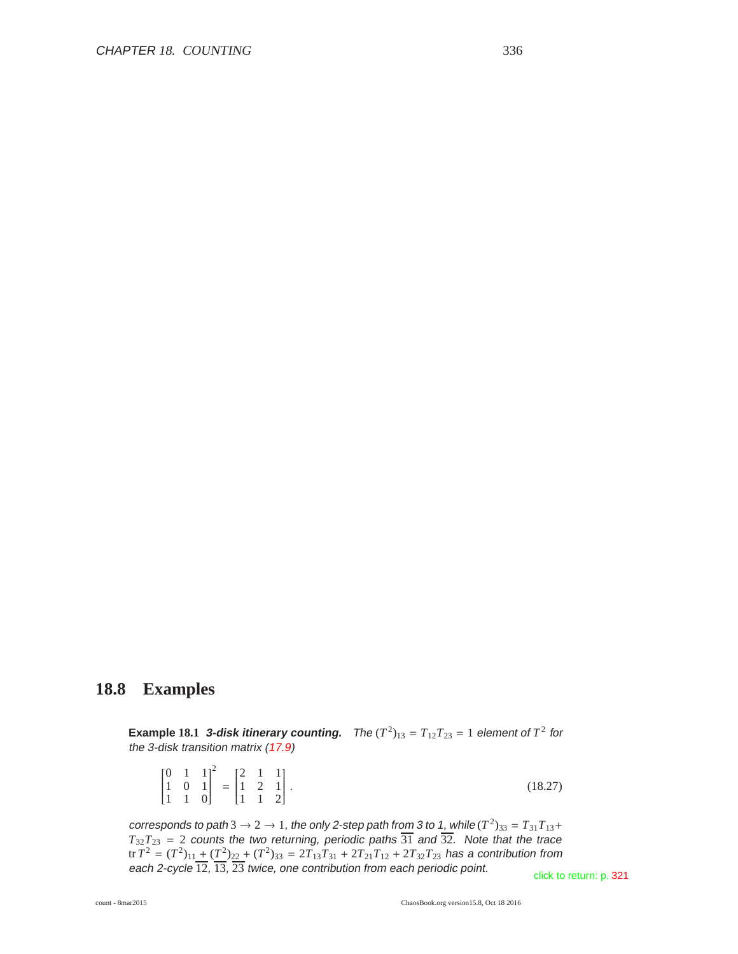## **18.8 Examples**

 $\overline{2}$ 

**Example 18.1 3-disk itinerary counting.** The  $(T^2)_{13} = T_{12}T_{23} = 1$  element of  $T^2$  for the 3-disk transition matrix (17.9)

|  |                                                                                                                                            |  |  | (18.27) |
|--|--------------------------------------------------------------------------------------------------------------------------------------------|--|--|---------|
|  | $\begin{bmatrix} 0 & 1 & 1 \\ 1 & 0 & 1 \\ 1 & 1 & 0 \end{bmatrix}^2 = \begin{bmatrix} 2 & 1 & 1 \\ 1 & 2 & 1 \\ 1 & 1 & 2 \end{bmatrix}.$ |  |  |         |

corresponds to path 3  $\rightarrow$  2  $\rightarrow$  1, the only 2-step path from 3 to 1, while ( $T^2)_{33} = T_{31}T_{13} +$  $T_{32}T_{23}$  = 2 counts the two returning, periodic paths 31 and 32. Note that the trace  ${\rm tr}\, T^2=(T^2)_{11}+(T^2)_{22}+(T^2)_{33}=2T_{13}T_{31}+2T_{21}T_{12}+2T_{32}T_{23}$  has a contribution from each 2-cycle 12, 13, 23 twice, one contribution from each periodic point.<br>click to return: p. 321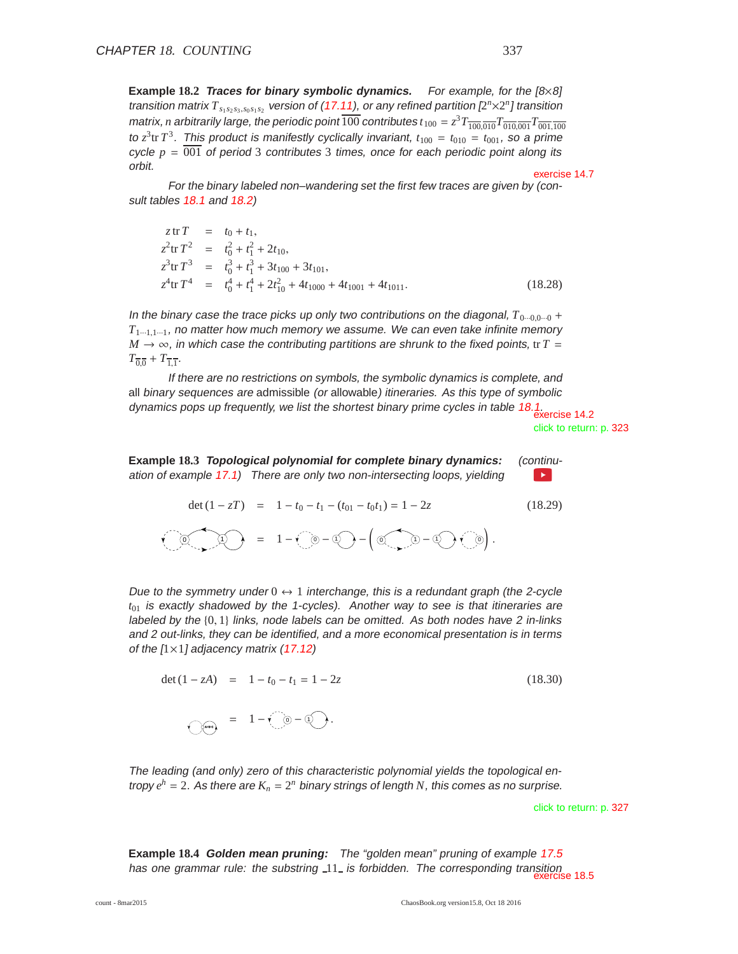**Example 18.2 Traces for binary symbolic dynamics.** For example, for the [8×8] transition matrix  $T_{s_1 s_2 s_3,s_0 s_1 s_2}$  version of (17.11), or any refined partition  $[2^n \times 2^n]$  transition matrix, *n* arbitrarily large, the periodic point  $\overline{100}$  contributes  $t_{100} = z^3 T_{\overline{100,010}} T_{\overline{010,001}} T_{\overline{001,100}}$ to  $z^3$ tr  $T^3$ . This product is manifestly cyclically invariant,  $t_{100} = t_{010} = t_{001}$ , so a prime cycle  $p = 0.01$  of period 3 contributes 3 times, once for each periodic point along its orbit. Exercise 14.7

For the binary labeled non–wandering set the first few traces are given by (consult tables 18.1 and 18.2)

$$
z \text{ tr } T = t_0 + t_1,
$$
  
\n
$$
z^2 \text{ tr } T^2 = t_0^2 + t_1^2 + 2t_{10},
$$
  
\n
$$
z^3 \text{ tr } T^3 = t_0^3 + t_1^3 + 3t_{100} + 3t_{101},
$$
  
\n
$$
z^4 \text{ tr } T^4 = t_0^4 + t_1^4 + 2t_{10}^2 + 4t_{1000} + 4t_{1011}.
$$
\n(18.28)

In the binary case the trace picks up only two contributions on the diagonal,  $T_{0\cdots0,0\cdots0}$  +  $T_{1\cdots1,1\cdots1}$ , no matter how much memory we assume. We can even take infinite memory  $M \rightarrow \infty$ , in which case the contributing partitions are shrunk to the fixed points, tr *T* =  $T_{\overline{0}} - T_{\overline{1}}$ .

If there are no restrictions on symbols, the symbolic dynamics is complete, and all binary sequences are admissible (or allowable) itineraries. As this type of symbolic dynamics pops up frequently, we list the shortest binary prime cycles in table 18.1. exercise 14.2

click to return: p. 323

**Example 18.3 Topological polynomial for complete binary dynamics:** (continuation of example 17.1) There are only two non-intersecting loops, yielding l.≽.

$$
\det (1 - zT) = 1 - t_0 - t_1 - (t_{01} - t_0 t_1) = 1 - 2z \qquad (18.29)
$$
  

$$
\widehat{Q} = 1 - \widehat{Q} - \widehat{Q} - \widehat{Q} - \widehat{Q} - \widehat{Q} \widehat{Q}.
$$

Due to the symmetry under  $0 \leftrightarrow 1$  interchange, this is a redundant graph (the 2-cycle *t*<sup>01</sup> is exactly shadowed by the 1-cycles). Another way to see is that itineraries are labeled by the  $\{0, 1\}$  links, node labels can be omitted. As both nodes have 2 in-links and 2 out-links, they can be identified, and <sup>a</sup> more economical presentation is in terms of the  $[1 \times 1]$  adjacency matrix (17.12)

det (1 - zA) = 1 - t<sub>0</sub> - t<sub>1</sub> = 1 - 2z (18.30)  
= 1 - 
$$
\sqrt{0}
$$
 -  $\sqrt{0}$ .

The leading (and only) zero of this characteristic polynomial yields the topological entropy  $e^h = 2$ . As there are  $K_n = 2^n$  binary strings of length N, this comes as no surprise.

click to return: p. 327

**Example 18.4 Golden mean pruning:** The "golden mean" pruning of example 17.5 has one grammar rule: the substring  $\text{11}_{-}$  is forbidden. The corresponding transition exercise 18.5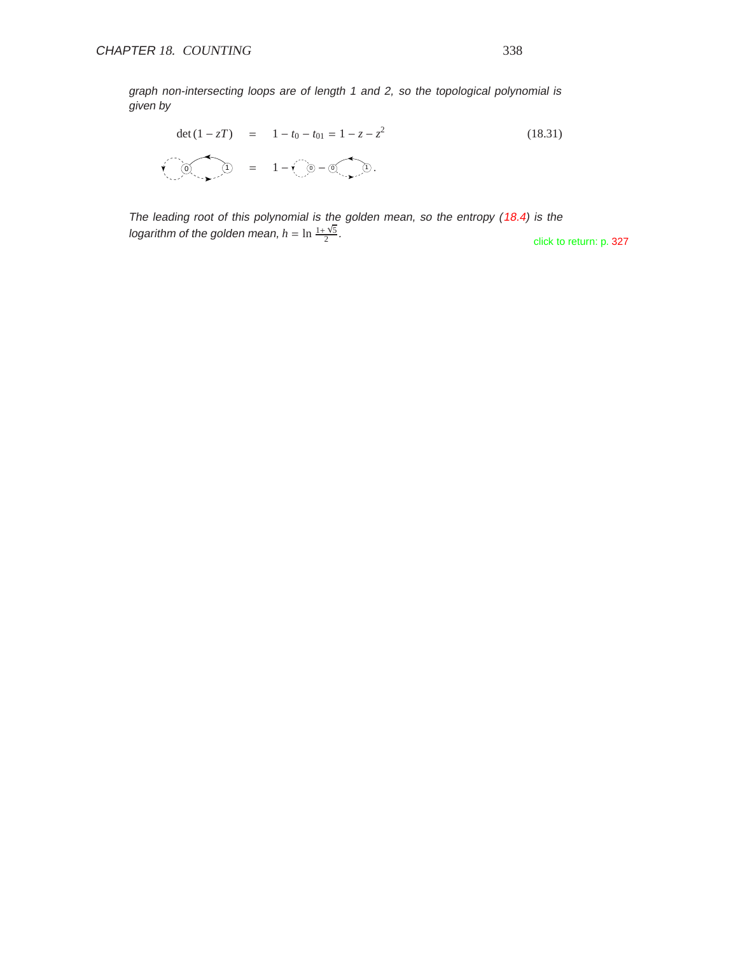graph non-intersecting loops are of length 1 and 2, so the topological polynomial is given by

$$
\det (1 - zT) = 1 - t_0 - t_{01} = 1 - z - z^2
$$
(18.31)  

$$
\sqrt{0} \sqrt{0} = 1 - \sqrt{0} - 0 \sqrt{0}.
$$

The leading root of this polynomial is the golden mean, so the entropy (18.4) is the logarithm of the golden mean,  $h = \ln \frac{1 + \sqrt{5}}{2}$ 

click to return: p. 327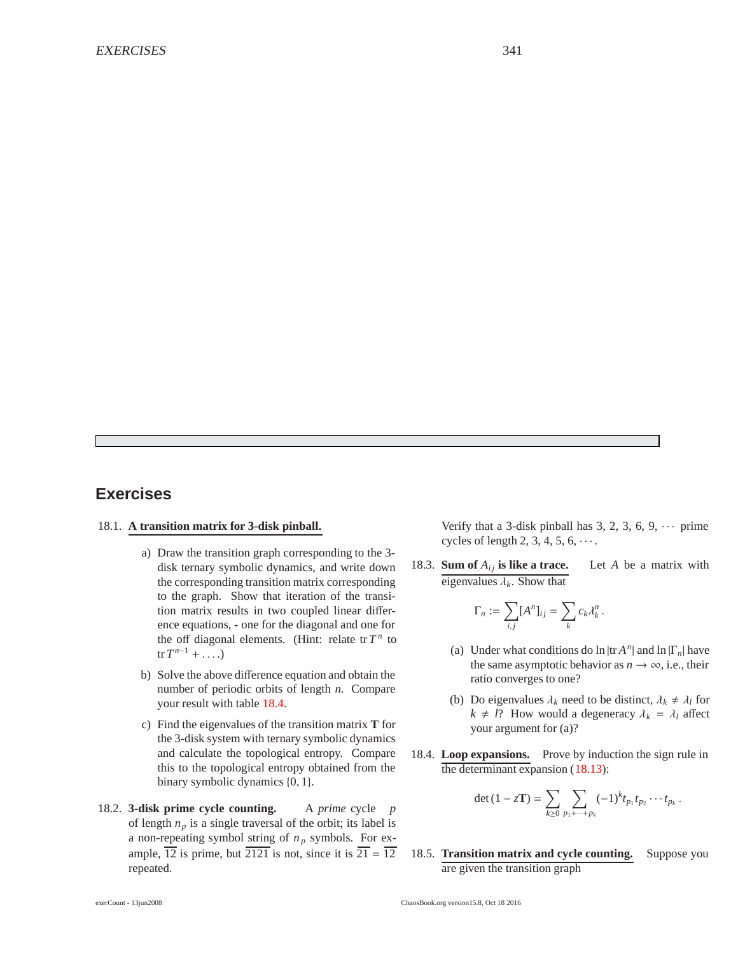## **Exercises**

#### 18.1. **A transition matrix for 3-disk pinball.**

- a) Draw the transition graph corresponding to the 3 disk ternary symbolic dynamics, and write down the corresponding transition matrix corresponding to the graph. Show that iteration of the transition matrix results in two coupled linear difference equations, - one for the diagonal and one for the off diagonal elements. (Hint: relate  $tr T^n$  to  $\text{tr } T^{n-1} + \ldots$
- b) Solve the above difference equation and obtain the number of periodic orbits of length *n*. Compare your result with table 18.4.
- c) Find the eigenvalues of the transition matrix **T** for the 3-disk system with ternary symbolic dynamics and calculate the topological entropy. Compare this to the topological entropy obtained from the binary symbolic dynamics {0, 1}.
- 18.2. **3-disk prime cycle counting.** A *prime* cycle *p* of length  $n_p$  is a single traversal of the orbit; its label is a non-repeating symbol string of *n <sup>p</sup>* symbols. For example,  $\overline{12}$  is prime, but  $\overline{2121}$  is not, since it is  $\overline{21} = \overline{12}$ repeated.

Verify that a 3-disk pinball has 3, 2, 3, 6, 9,  $\cdots$  prime cycles of length 2, 3, 4, 5,  $6, \cdots$ .

18.3. **Sum of**  $A_{ij}$  is like a trace. Let A be a matrix with eigenvalues  $\lambda_k$ . Show that

$$
\Gamma_n := \sum_{i,j} [A^n]_{ij} = \sum_k c_k \lambda_k^n.
$$

- (a) Under what conditions do  $\ln |\text{tr } A^n|$  and  $\ln |\Gamma_n|$  have the same asymptotic behavior as  $n \to \infty$ , i.e., their ratio converges to one?
- (b) Do eigenvalues  $\lambda_k$  need to be distinct,  $\lambda_k \neq \lambda_l$  for  $k \neq l$ ? How would a degeneracy  $\lambda_k = \lambda_l$  affect your argument for (a)?
- 18.4. **Loop expansions.** Prove by induction the sign rule in the determinant expansion (18.13):

$$
\det(1 - z\mathbf{T}) = \sum_{k\geq 0} \sum_{p_1 + \dots + p_k} (-1)^k t_{p_1} t_{p_2} \cdots t_{p_k}.
$$

18.5. **Transition matrix and cycle counting.** Suppose you are given the transition graph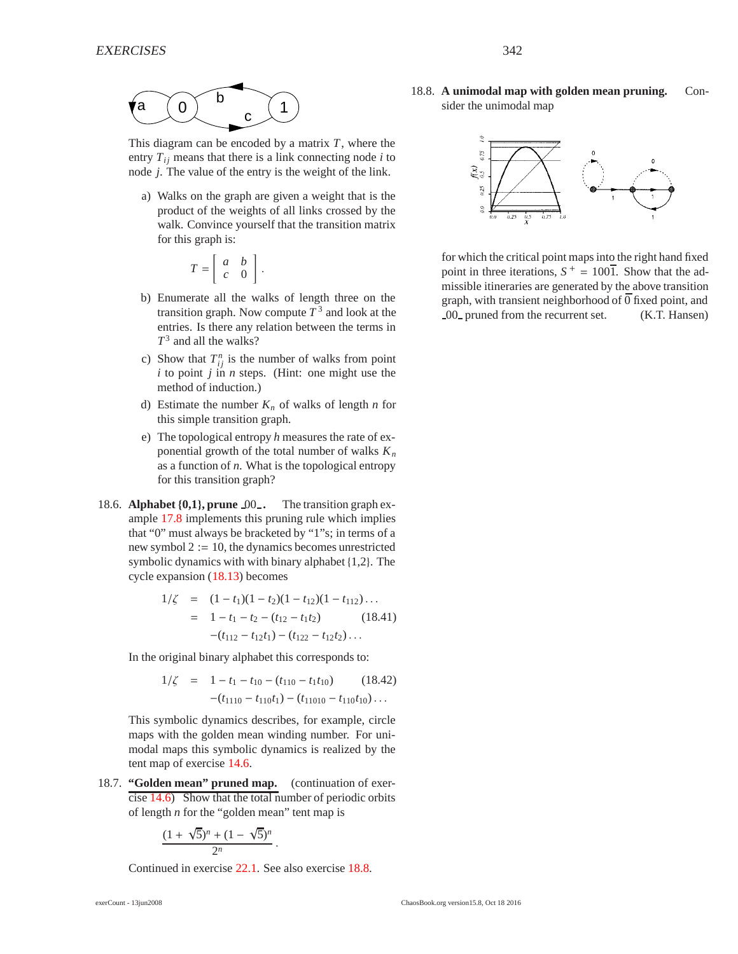

This diagram can be encoded by a matrix *T*, where the entry  $T_{ij}$  means that there is a link connecting node  $i$  to node *j*. The value of the entry is the weight of the link.

a) Walks on the graph are given a weight that is the product of the weights of all links crossed by the walk. Convince yourself that the transition matrix for this graph is:

$$
T=\left[\begin{array}{cc}a&b\\c&0\end{array}\right].
$$

- b) Enumerate all the walks of length three on the transition graph. Now compute  $T<sup>3</sup>$  and look at the entries. Is there any relation between the terms in *T*<sup>3</sup> and all the walks?
- c) Show that  $T_{ij}^n$  is the number of walks from point  $i$  to point  $j$  in  $n$  steps. (Hint: one might use the method of induction.)
- d) Estimate the number  $K_n$  of walks of length *n* for this simple transition graph.
- e) The topological entropy *h* measures the rate of exponential growth of the total number of walks  $K_n$ as a function of *n*. What is the topological entropy for this transition graph?
- 18.6. **Alphabet** {**0,1**}**, prune** 00 **.** The transition graph example 17.8 implements this pruning rule which implies that "0" must always be bracketed by "1"s; in terms of a new symbol  $2 := 10$ , the dynamics becomes unrestricted symbolic dynamics with with binary alphabet {1,2}. The cycle expansion (18.13) becomes

$$
1/\zeta = (1 - t_1)(1 - t_2)(1 - t_{12})(1 - t_{112})\dots
$$
  
= 1 - t\_1 - t\_2 - (t\_{12} - t\_1t\_2) (18.41)  
-(t\_{112} - t\_{12}t\_1) - (t\_{122} - t\_{12}t\_2)\dots

In the original binary alphabet this corresponds to:

$$
1/\zeta = 1 - t_1 - t_{10} - (t_{110} - t_1 t_{10}) \qquad (18.42)
$$

$$
-(t_{1110} - t_{110} t_1) - (t_{11010} - t_{110} t_{10}) \dots
$$

This symbolic dynamics describes, for example, circle maps with the golden mean winding number. For unimodal maps this symbolic dynamics is realized by the tent map of exercise 14.6.

18.7. **"Golden mean" pruned map.** (continuation of exercise 14.6) Show that the total number of periodic orbits of length *n* for the "golden mean" tent map is

$$
\frac{(1+\sqrt{5})^n+(1-\sqrt{5})^n}{2^n}.
$$

Continued in exercise 22.1. See also exercise 18.8.

18.8. **A unimodal map with golden mean pruning.** Consider the unimodal map



for which the critical point maps into the right hand fixed point in three iterations,  $S^+ = 100\overline{1}$ . Show that the admissible itineraries are generated by the above transition graph, with transient neighborhood of  $\overline{0}$  fixed point, and 00 pruned from the recurrent set. (K.T. Hansen)